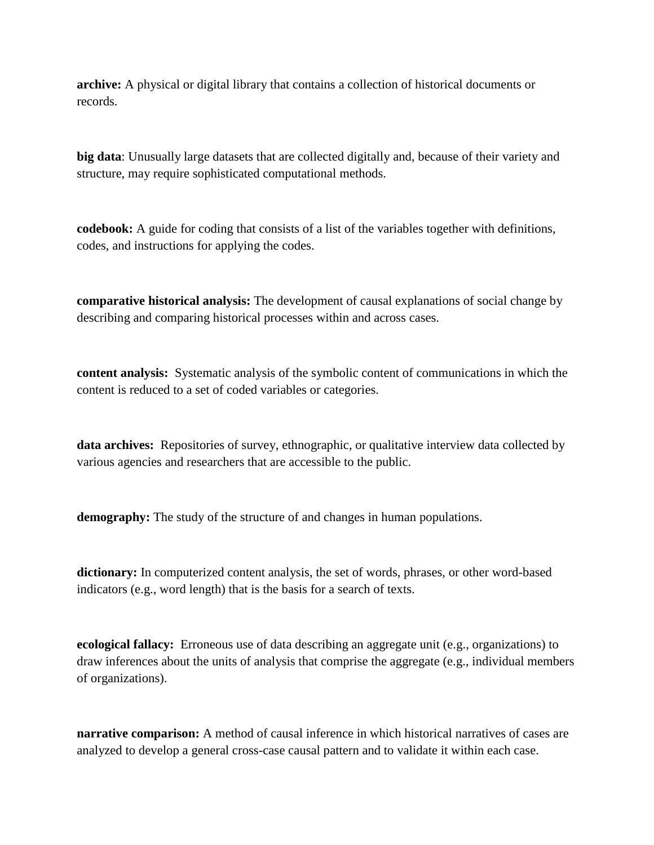**archive:** A physical or digital library that contains a collection of historical documents or records.

**big data**: Unusually large datasets that are collected digitally and, because of their variety and structure, may require sophisticated computational methods.

**codebook:** A guide for coding that consists of a list of the variables together with definitions, codes, and instructions for applying the codes.

**comparative historical analysis:** The development of causal explanations of social change by describing and comparing historical processes within and across cases.

**content analysis:** Systematic analysis of the symbolic content of communications in which the content is reduced to a set of coded variables or categories.

**data archives:** Repositories of survey, ethnographic, or qualitative interview data collected by various agencies and researchers that are accessible to the public.

**demography:** The study of the structure of and changes in human populations.

**dictionary:** In computerized content analysis, the set of words, phrases, or other word-based indicators (e.g., word length) that is the basis for a search of texts.

**ecological fallacy:** Erroneous use of data describing an aggregate unit (e.g., organizations) to draw inferences about the units of analysis that comprise the aggregate (e.g., individual members of organizations).

**narrative comparison:** A method of causal inference in which historical narratives of cases are analyzed to develop a general cross-case causal pattern and to validate it within each case.